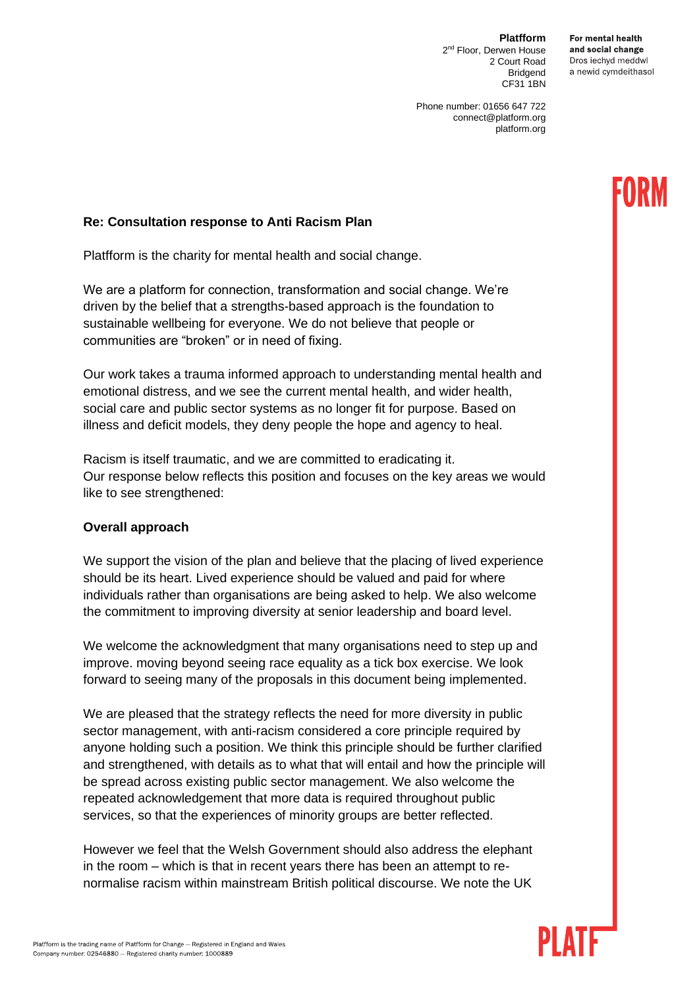**Platfform** 2<sup>nd</sup> Floor, Derwen House 2 Court Road Bridgend CF31 1BN

For mental health and social change Dros iechvd meddwl a newid cymdeithasol

Phone number: 01656 647 722 connect@platform.org platform.org

# **Re: Consultation response to Anti Racism Plan**

Platfform is the charity for mental health and social change.

We are a platform for connection, transformation and social change. We're driven by the belief that a strengths-based approach is the foundation to sustainable wellbeing for everyone. We do not believe that people or communities are "broken" or in need of fixing.

Our work takes a trauma informed approach to understanding mental health and emotional distress, and we see the current mental health, and wider health, social care and public sector systems as no longer fit for purpose. Based on illness and deficit models, they deny people the hope and agency to heal.

Racism is itself traumatic, and we are committed to eradicating it. Our response below reflects this position and focuses on the key areas we would like to see strengthened:

## **Overall approach**

We support the vision of the plan and believe that the placing of lived experience should be its heart. Lived experience should be valued and paid for where individuals rather than organisations are being asked to help. We also welcome the commitment to improving diversity at senior leadership and board level.

We welcome the acknowledgment that many organisations need to step up and improve. moving beyond seeing race equality as a tick box exercise. We look forward to seeing many of the proposals in this document being implemented.

We are pleased that the strategy reflects the need for more diversity in public sector management, with anti-racism considered a core principle required by anyone holding such a position. We think this principle should be further clarified and strengthened, with details as to what that will entail and how the principle will be spread across existing public sector management. We also welcome the repeated acknowledgement that more data is required throughout public services, so that the experiences of minority groups are better reflected.

However we feel that the Welsh Government should also address the elephant in the room – which is that in recent years there has been an attempt to renormalise racism within mainstream British political discourse. We note the UK

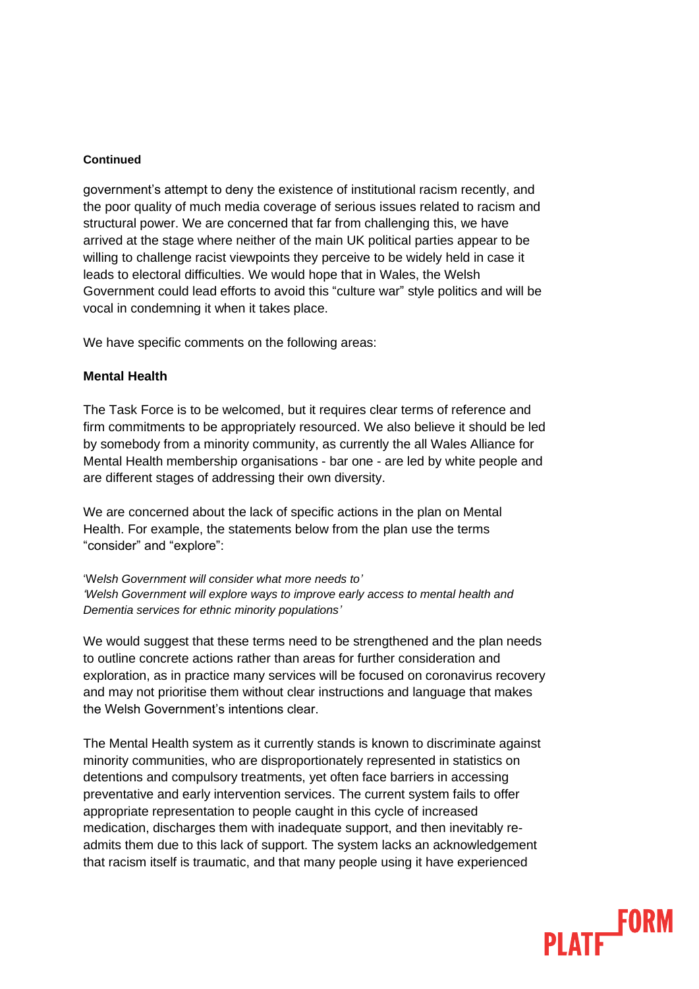government's attempt to deny the existence of institutional racism recently, and the poor quality of much media coverage of serious issues related to racism and structural power. We are concerned that far from challenging this, we have arrived at the stage where neither of the main UK political parties appear to be willing to challenge racist viewpoints they perceive to be widely held in case it leads to electoral difficulties. We would hope that in Wales, the Welsh Government could lead efforts to avoid this "culture war" style politics and will be vocal in condemning it when it takes place.

We have specific comments on the following areas:

## **Mental Health**

The Task Force is to be welcomed, but it requires clear terms of reference and firm commitments to be appropriately resourced. We also believe it should be led by somebody from a minority community, as currently the all Wales Alliance for Mental Health membership organisations - bar one - are led by white people and are different stages of addressing their own diversity.

We are concerned about the lack of specific actions in the plan on Mental Health. For example, the statements below from the plan use the terms "consider" and "explore":

'W*elsh Government will consider what more needs to' 'Welsh Government will explore ways to improve early access to mental health and Dementia services for ethnic minority populations'* 

We would suggest that these terms need to be strengthened and the plan needs to outline concrete actions rather than areas for further consideration and exploration, as in practice many services will be focused on coronavirus recovery and may not prioritise them without clear instructions and language that makes the Welsh Government's intentions clear.

The Mental Health system as it currently stands is known to discriminate against minority communities, who are disproportionately represented in statistics on detentions and compulsory treatments, yet often face barriers in accessing preventative and early intervention services. The current system fails to offer appropriate representation to people caught in this cycle of increased medication, discharges them with inadequate support, and then inevitably readmits them due to this lack of support. The system lacks an acknowledgement that racism itself is traumatic, and that many people using it have experienced

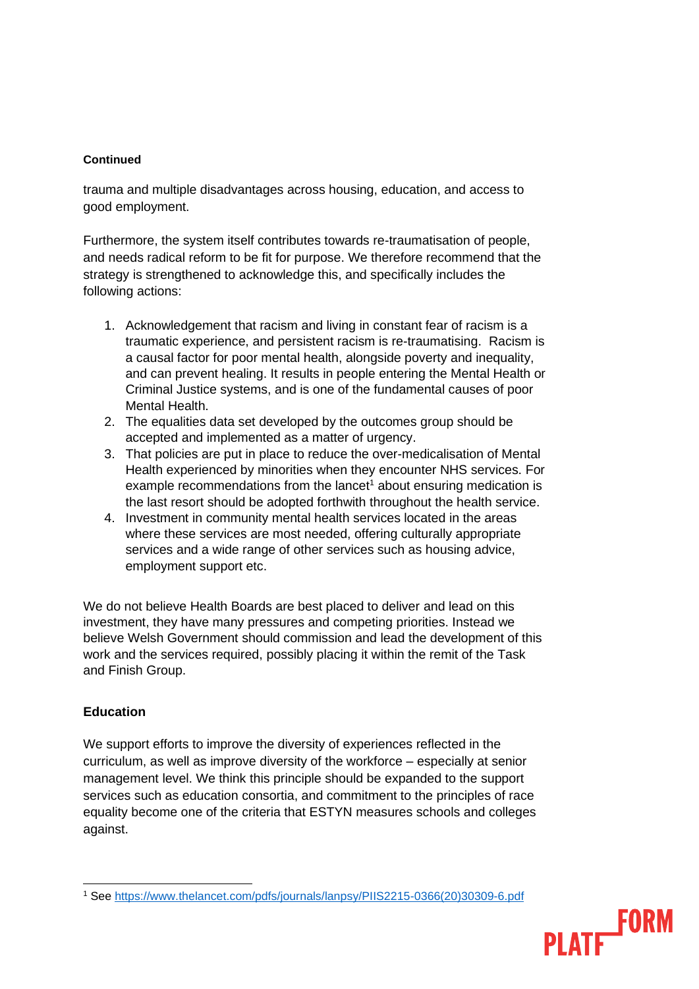trauma and multiple disadvantages across housing, education, and access to good employment.

Furthermore, the system itself contributes towards re-traumatisation of people, and needs radical reform to be fit for purpose. We therefore recommend that the strategy is strengthened to acknowledge this, and specifically includes the following actions:

- 1. Acknowledgement that racism and living in constant fear of racism is a traumatic experience, and persistent racism is re-traumatising. Racism is a causal factor for poor mental health, alongside poverty and inequality, and can prevent healing. It results in people entering the Mental Health or Criminal Justice systems, and is one of the fundamental causes of poor Mental Health.
- 2. The equalities data set developed by the outcomes group should be accepted and implemented as a matter of urgency.
- 3. That policies are put in place to reduce the over-medicalisation of Mental Health experienced by minorities when they encounter NHS services. For example recommendations from the lancet<sup>1</sup> about ensuring medication is the last resort should be adopted forthwith throughout the health service.
- 4. Investment in community mental health services located in the areas where these services are most needed, offering culturally appropriate services and a wide range of other services such as housing advice, employment support etc.

We do not believe Health Boards are best placed to deliver and lead on this investment, they have many pressures and competing priorities. Instead we believe Welsh Government should commission and lead the development of this work and the services required, possibly placing it within the remit of the Task and Finish Group.

# **Education**

We support efforts to improve the diversity of experiences reflected in the curriculum, as well as improve diversity of the workforce – especially at senior management level. We think this principle should be expanded to the support services such as education consortia, and commitment to the principles of race equality become one of the criteria that ESTYN measures schools and colleges against.

<sup>1</sup> See [https://www.thelancet.com/pdfs/journals/lanpsy/PIIS2215-0366\(20\)30309-6.pdf](https://www.thelancet.com/pdfs/journals/lanpsy/PIIS2215-0366(20)30309-6.pdf)

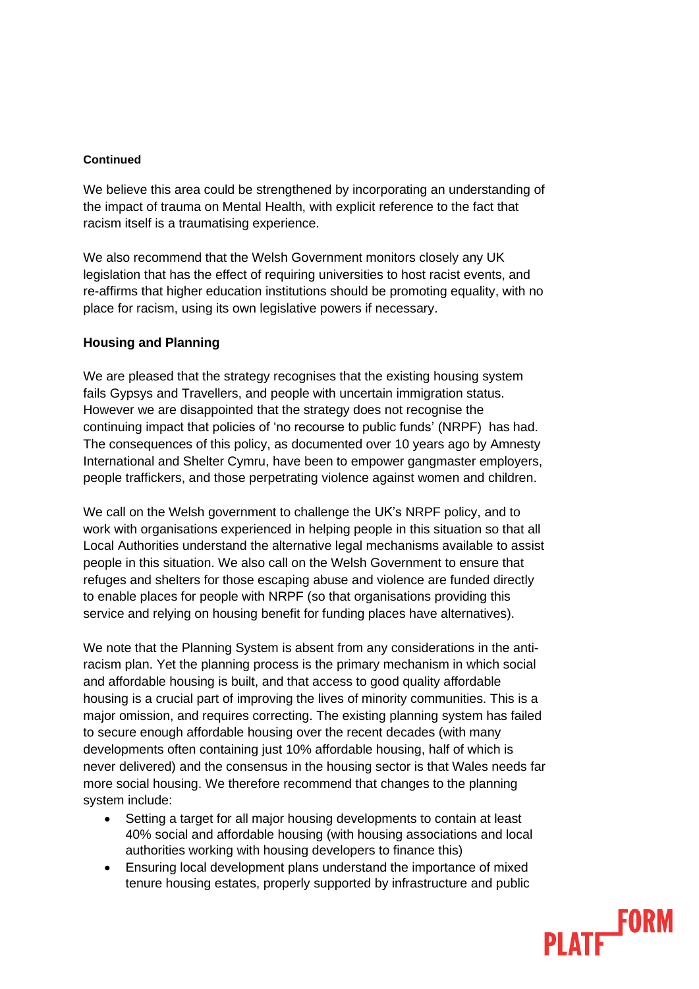We believe this area could be strengthened by incorporating an understanding of the impact of trauma on Mental Health, with explicit reference to the fact that racism itself is a traumatising experience.

We also recommend that the Welsh Government monitors closely any UK legislation that has the effect of requiring universities to host racist events, and re-affirms that higher education institutions should be promoting equality, with no place for racism, using its own legislative powers if necessary.

## **Housing and Planning**

We are pleased that the strategy recognises that the existing housing system fails Gypsys and Travellers, and people with uncertain immigration status. However we are disappointed that the strategy does not recognise the continuing impact that policies of 'no recourse to public funds' (NRPF) has had. The consequences of this policy, as documented over 10 years ago by Amnesty International and Shelter Cymru, have been to empower gangmaster employers, people traffickers, and those perpetrating violence against women and children.

We call on the Welsh government to challenge the UK's NRPF policy, and to work with organisations experienced in helping people in this situation so that all Local Authorities understand the alternative legal mechanisms available to assist people in this situation. We also call on the Welsh Government to ensure that refuges and shelters for those escaping abuse and violence are funded directly to enable places for people with NRPF (so that organisations providing this service and relying on housing benefit for funding places have alternatives).

We note that the Planning System is absent from any considerations in the antiracism plan. Yet the planning process is the primary mechanism in which social and affordable housing is built, and that access to good quality affordable housing is a crucial part of improving the lives of minority communities. This is a major omission, and requires correcting. The existing planning system has failed to secure enough affordable housing over the recent decades (with many developments often containing just 10% affordable housing, half of which is never delivered) and the consensus in the housing sector is that Wales needs far more social housing. We therefore recommend that changes to the planning system include:

- Setting a target for all major housing developments to contain at least 40% social and affordable housing (with housing associations and local authorities working with housing developers to finance this)
- Ensuring local development plans understand the importance of mixed tenure housing estates, properly supported by infrastructure and public